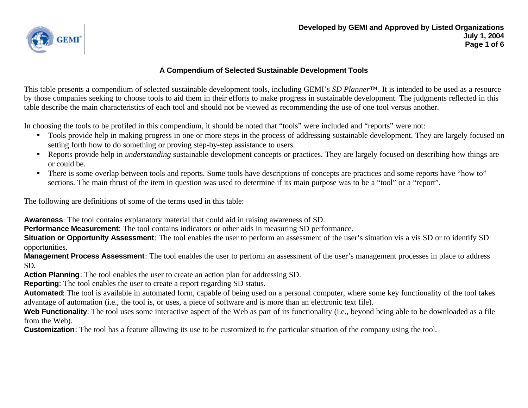

## **A Compendium of Selected Sustainable Development Tools**

This table presents a compendium of selected sustainable development tools, including GEMI's *SD Planner™*. It is intended to be used as a resource by those companies seeking to choose tools to aid them in their efforts to make progress in sustainable development. The judgments reflected in this table describe the main characteristics of each tool and should not be viewed as recommending the use of one tool versus another.

In choosing the tools to be profiled in this compendium, it should be noted that "tools" were included and "reports" were not:

- Tools provide help in making progress in one or more steps in the process of addressing sustainable development. They are largely focused on setting forth how to do something or proving step-by-step assistance to users.
- Reports provide help in *understanding* sustainable development concepts or practices. They are largely focused on describing how things are or could be.
- There is some overlap between tools and reports. Some tools have descriptions of concepts are practices and some reports have "how to" sections. The main thrust of the item in question was used to determine if its main purpose was to be a "tool" or a "report".

The following are definitions of some of the terms used in this table:

**Awareness**: The tool contains explanatory material that could aid in raising awareness of SD.

**Performance Measurement**: The tool contains indicators or other aids in measuring SD performance.

**Situation or Opportunity Assessment**: The tool enables the user to perform an assessment of the user's situation vis a vis SD or to identify SD opportunities.

**Management Process Assessment**: The tool enables the user to perform an assessment of the user's management processes in place to address SD.

**Action Planning**: The tool enables the user to create an action plan for addressing SD.

**Reporting**: The tool enables the user to create a report regarding SD status.

**Automated**: The tool is available in automated form, capable of being used on a personal computer, where some key functionality of the tool takes advantage of automation (i.e., the tool is, or uses, a piece of software and is more than an electronic text file).

Web Functionality: The tool uses some interactive aspect of the Web as part of its functionality (i.e., beyond being able to be downloaded as a file from the Web).

**Customization**: The tool has a feature allowing its use to be customized to the particular situation of the company using the tool.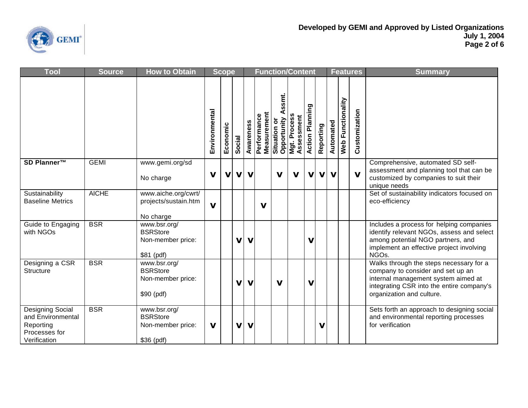

| Tool                                                                                       | <b>Source</b> | <b>How to Obtain</b>                                                | <b>Function/Content</b><br><b>Scope</b> |             |             |             |                            |                                |                                             |                        |             |              |                   | <b>Features</b> | <b>Summary</b>                                                                                                                                                                                |
|--------------------------------------------------------------------------------------------|---------------|---------------------------------------------------------------------|-----------------------------------------|-------------|-------------|-------------|----------------------------|--------------------------------|---------------------------------------------|------------------------|-------------|--------------|-------------------|-----------------|-----------------------------------------------------------------------------------------------------------------------------------------------------------------------------------------------|
|                                                                                            |               |                                                                     | Environmental                           | Economic    | Social      | Awareness   | Measurement<br>Performance | ssmt.<br>ŏ<br><b>Situation</b> | Opportunity A<br>Mgt. Process<br>Assessment | <b>Action Planning</b> | Reporting   | Automated    | Web Functionality | Customization   |                                                                                                                                                                                               |
| SD Planner™                                                                                | <b>GEMI</b>   | www.gemi.org/sd<br>No charge                                        | V                                       | $\mathbf v$ | $\mathbf v$ | $\mathbf v$ |                            | v                              | $\mathbf v$                                 | $\mathbf v$            | $\mathbf v$ | $\mathbf{V}$ |                   | $\mathbf v$     | Comprehensive, automated SD self-<br>assessment and planning tool that can be<br>customized by companies to suit their<br>unique needs                                                        |
| Sustainability<br><b>Baseline Metrics</b>                                                  | <b>AICHE</b>  | www.aiche.org/cwrt/<br>projects/sustain.htm<br>No charge            | $\mathbf v$                             |             |             |             | $\mathbf v$                |                                |                                             |                        |             |              |                   |                 | Set of sustainability indicators focused on<br>eco-efficiency                                                                                                                                 |
| Guide to Engaging<br>with NGOs                                                             | <b>BSR</b>    | www.bsr.org/<br><b>BSRStore</b><br>Non-member price:<br>\$81 (pdf)  |                                         |             | v           | $\mathbf v$ |                            |                                |                                             | $\mathbf v$            |             |              |                   |                 | Includes a process for helping companies<br>identify relevant NGOs, assess and select<br>among potential NGO partners, and<br>implement an effective project involving<br>NGOs.               |
| Designing a CSR<br><b>Structure</b>                                                        | <b>BSR</b>    | www.bsr.org/<br><b>BSRStore</b><br>Non-member price:<br>$$90$ (pdf) |                                         |             | $\mathbf v$ | $\mathbf v$ |                            | $\mathbf v$                    |                                             | $\mathbf v$            |             |              |                   |                 | Walks through the steps necessary for a<br>company to consider and set up an<br>internal management system aimed at<br>integrating CSR into the entire company's<br>organization and culture. |
| <b>Designing Social</b><br>and Environmental<br>Reporting<br>Processes for<br>Verification | <b>BSR</b>    | www.bsr.org/<br><b>BSRStore</b><br>Non-member price:<br>\$36 (pdf)  | $\mathbf v$                             |             | V           | $\mathbf v$ |                            |                                |                                             |                        | ν           |              |                   |                 | Sets forth an approach to designing social<br>and environmental reporting processes<br>for verification                                                                                       |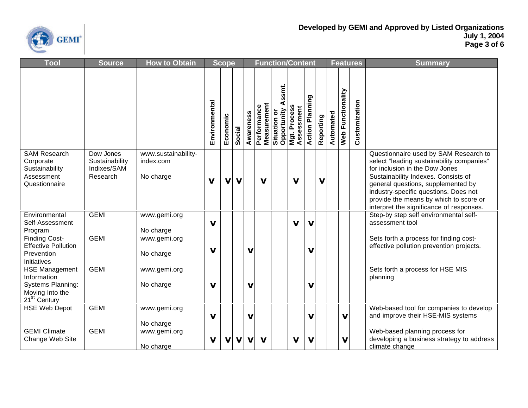

| Tool                                                                                                     | <b>Source</b>                                          | <b>How to Obtain</b>                          | <b>Function/Content</b><br><b>Scope</b> |             |             |             |             |                                             |                                                    |                        |           |           |                          | <b>Features</b> | <b>Summary</b>                                                                                                                                                                                                                                                                                                                   |
|----------------------------------------------------------------------------------------------------------|--------------------------------------------------------|-----------------------------------------------|-----------------------------------------|-------------|-------------|-------------|-------------|---------------------------------------------|----------------------------------------------------|------------------------|-----------|-----------|--------------------------|-----------------|----------------------------------------------------------------------------------------------------------------------------------------------------------------------------------------------------------------------------------------------------------------------------------------------------------------------------------|
|                                                                                                          |                                                        |                                               | Environmental                           | Economic    | Social      | Awareness   | Performance | ssmt.<br><b>Measurement</b><br>Situation or | <b>Opportunity A</b><br>Mgt. Process<br>Assessment | <b>Action Planning</b> | Reporting | Automated | <b>Web Functionality</b> | Customization   |                                                                                                                                                                                                                                                                                                                                  |
| <b>SAM Research</b><br>Corporate<br>Sustainability<br>Assessment<br>Questionnaire                        | Dow Jones<br>Sustainability<br>Indixes/SAM<br>Research | www.sustainability-<br>index.com<br>No charge | $\mathbf v$                             | $\mathbf v$ | $\mathbf v$ |             | $\mathbf v$ |                                             | $\mathbf v$                                        |                        | v         |           |                          |                 | Questionnaire used by SAM Research to<br>select "leading sustainability companies"<br>for inclusion in the Dow Jones<br>Sustainability Indexes. Consists of<br>general questions, supplemented by<br>industry-specific questions. Does not<br>provide the means by which to score or<br>interpret the significance of responses. |
| Environmental<br>Self-Assessment<br>Program                                                              | <b>GEMI</b>                                            | www.gemi.org<br>No charge                     | $\mathbf v$                             |             |             |             |             |                                             | $\mathbf v$                                        | $\mathbf v$            |           |           |                          |                 | Step-by step self environmental self-<br>assessment tool                                                                                                                                                                                                                                                                         |
| <b>Finding Cost-</b><br><b>Effective Pollution</b><br>Prevention<br>Initiatives                          | <b>GEMI</b>                                            | www.gemi.org<br>No charge                     | $\mathbf v$                             |             |             | $\mathbf v$ |             |                                             |                                                    | $\mathbf v$            |           |           |                          |                 | Sets forth a process for finding cost-<br>effective pollution prevention projects.                                                                                                                                                                                                                                               |
| <b>HSE Management</b><br>Information<br>Systems Planning:<br>Moving Into the<br>21 <sup>st</sup> Century | <b>GEMI</b>                                            | www.gemi.org<br>No charge                     | $\mathbf v$                             |             |             | $\mathbf v$ |             |                                             |                                                    | $\mathbf v$            |           |           |                          |                 | Sets forth a process for HSE MIS<br>planning                                                                                                                                                                                                                                                                                     |
| <b>HSE Web Depot</b>                                                                                     | <b>GEMI</b>                                            | www.gemi.org<br>No charge                     | $\mathbf v$                             |             |             | $\mathbf v$ |             |                                             |                                                    | $\mathbf v$            |           |           | $\mathbf v$              |                 | Web-based tool for companies to develop<br>and improve their HSE-MIS systems                                                                                                                                                                                                                                                     |
| <b>GEMI Climate</b><br>Change Web Site                                                                   | <b>GEMI</b>                                            | www.gemi.org<br>No charge                     | $\mathbf v$                             | v           | V           | $\mathbf v$ | $\mathbf v$ |                                             | V                                                  | $\mathbf v$            |           |           | v                        |                 | Web-based planning process for<br>developing a business strategy to address<br>climate change                                                                                                                                                                                                                                    |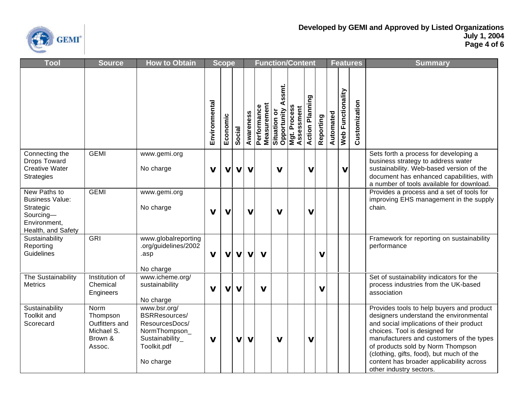

| Tool                                                                                                   | <b>Source</b>                                                         | <b>How to Obtain</b>                                                                                            |               | <b>Scope</b> |             |             |                            |                              | <b>Function/Content</b>                     |                        |           |           |                          | <b>Features</b> | <b>Summary</b>                                                                                                                                                                                                                                                                                                                                                       |
|--------------------------------------------------------------------------------------------------------|-----------------------------------------------------------------------|-----------------------------------------------------------------------------------------------------------------|---------------|--------------|-------------|-------------|----------------------------|------------------------------|---------------------------------------------|------------------------|-----------|-----------|--------------------------|-----------------|----------------------------------------------------------------------------------------------------------------------------------------------------------------------------------------------------------------------------------------------------------------------------------------------------------------------------------------------------------------------|
|                                                                                                        |                                                                       |                                                                                                                 | Environmental | Economic     | Social      | Awareness   | Measurement<br>Performance | ssmt.<br>⋖<br>ŏ<br>Situation | Opportunity A<br>Mgt. Process<br>Assessment | <b>Action Planning</b> | Reporting | Automated | <b>Web Functionality</b> | Customization   |                                                                                                                                                                                                                                                                                                                                                                      |
| Connecting the<br><b>Drops Toward</b><br><b>Creative Water</b><br><b>Strategies</b>                    | <b>GEMI</b>                                                           | www.gemi.org<br>No charge                                                                                       | $\mathbf v$   | V            | $\mathbf v$ | $\mathbf v$ |                            | V                            |                                             | $\mathbf v$            |           |           | ν                        |                 | Sets forth a process for developing a<br>business strategy to address water<br>sustainability. Web-based version of the<br>document has enhanced capabilities, with<br>a number of tools available for download.                                                                                                                                                     |
| New Paths to<br><b>Business Value:</b><br>Strategic<br>Sourcing-<br>Environment,<br>Health, and Safety | <b>GEMI</b>                                                           | www.gemi.org<br>No charge                                                                                       | $\mathbf v$   | $\mathbf v$  |             | $\mathbf v$ |                            | $\mathbf v$                  |                                             | $\mathbf v$            |           |           |                          |                 | Provides a process and a set of tools for<br>improving EHS management in the supply<br>chain.                                                                                                                                                                                                                                                                        |
| Sustainability<br>Reporting<br>Guidelines                                                              | <b>GRI</b>                                                            | www.globalreporting<br>.org/guidelines/2002<br>.asp<br>No charge                                                | $\mathbf V$   | $\mathbf v$  | $\mathbf v$ | $\mathbf v$ | $\mathbf v$                |                              |                                             |                        | V         |           |                          |                 | Framework for reporting on sustainability<br>performance                                                                                                                                                                                                                                                                                                             |
| The Sustainability<br><b>Metrics</b>                                                                   | Institution of<br>Chemical<br>Engineers                               | www.icheme.org/<br>sustainability<br>No charge                                                                  | $\mathbf v$   | v            | V           |             | $\mathbf v$                |                              |                                             |                        | V         |           |                          |                 | Set of sustainability indicators for the<br>process industries from the UK-based<br>association                                                                                                                                                                                                                                                                      |
| Sustainability<br><b>Toolkit and</b><br>Scorecard                                                      | Norm<br>Thompson<br>Outfitters and<br>Michael S.<br>Brown &<br>Assoc. | www.bsr.org/<br>BSRResources/<br>ResourcesDocs/<br>NormThompson_<br>Sustainability_<br>Toolkit.pdf<br>No charge | $\mathbf v$   |              | V           | $\mathbf v$ |                            | $\mathbf v$                  |                                             | $\mathbf v$            |           |           |                          |                 | Provides tools to help buyers and product<br>designers understand the environmental<br>and social implications of their product<br>choices. Tool is designed for<br>manufacturers and customers of the types<br>of products sold by Norm Thompson<br>(clothing, gifts, food), but much of the<br>content has broader applicability across<br>other industry sectors. |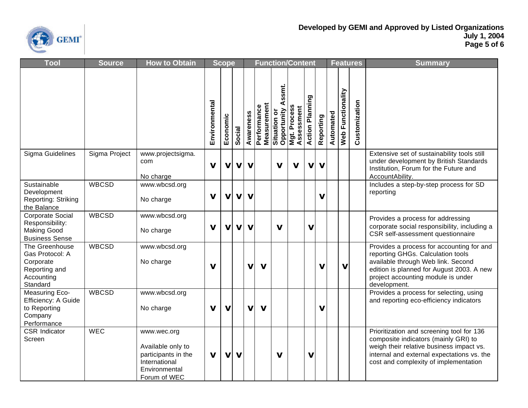

| Tool                                                                                      | <b>Source</b> | <b>How to Obtain</b>                                                                                      |               | <b>Scope</b> |             |              |                                   | <b>Function/Content</b>                   |                            |                        |             |           |                   | <b>Features</b> | <b>Summary</b>                                                                                                                                                                                                          |
|-------------------------------------------------------------------------------------------|---------------|-----------------------------------------------------------------------------------------------------------|---------------|--------------|-------------|--------------|-----------------------------------|-------------------------------------------|----------------------------|------------------------|-------------|-----------|-------------------|-----------------|-------------------------------------------------------------------------------------------------------------------------------------------------------------------------------------------------------------------------|
|                                                                                           |               |                                                                                                           | Environmental | Economic     | Social      | Awareness    | <b>Measurement</b><br>Performance | ssmt.<br>⋖<br>Opportunity<br>Situation or | Mgt. Process<br>Assessment | <b>Action Planning</b> | Reporting   | Automated | Web Functionality | Customization   |                                                                                                                                                                                                                         |
| Sigma Guidelines                                                                          | Sigma Project | www.projectsigma.<br>com<br>No charge                                                                     | $\mathbf v$   | $\mathbf v$  | $\mathbf v$ | $\mathbf v$  |                                   | $\mathbf v$                               | $\mathbf v$                | $\mathbf v$            | $\mathbf v$ |           |                   |                 | Extensive set of sustainability tools still<br>under development by British Standards<br>Institution, Forum for the Future and<br>AccountAbility.                                                                       |
| Sustainable<br>Development<br><b>Reporting: Striking</b><br>the Balance                   | <b>WBCSD</b>  | www.wbcsd.org<br>No charge                                                                                | $\mathbf v$   | $\mathbf v$  | $\mathbf v$ | $\mathbf v$  |                                   |                                           |                            |                        | $\mathbf v$ |           |                   |                 | Includes a step-by-step process for SD<br>reporting                                                                                                                                                                     |
| Corporate Social<br>Responsibility:<br><b>Making Good</b><br><b>Business Sense</b>        | <b>WBCSD</b>  | www.wbcsd.org<br>No charge                                                                                | $\mathbf v$   | $\mathbf v$  | $\mathbf v$ | $\mathbf v$  |                                   | $\mathbf v$                               |                            | $\mathbf v$            |             |           |                   |                 | Provides a process for addressing<br>corporate social responsibility, including a<br>CSR self-assessment questionnaire                                                                                                  |
| The Greenhouse<br>Gas Protocol: A<br>Corporate<br>Reporting and<br>Accounting<br>Standard | <b>WBCSD</b>  | www.wbcsd.org<br>No charge                                                                                | $\mathbf v$   |              |             | v            | $\mathbf v$                       |                                           |                            |                        | V           |           | ν                 |                 | Provides a process for accounting for and<br>reporting GHGs. Calculation tools<br>available through Web link. Second<br>edition is planned for August 2003. A new<br>project accounting module is under<br>development. |
| Measuring Eco-<br>Efficiency: A Guide<br>to Reporting<br>Company<br>Performance           | <b>WBCSD</b>  | www.wbcsd.org<br>No charge                                                                                | $\mathbf v$   | $\mathbf v$  |             | $\mathbf{V}$ | $\mathbf{V}$                      |                                           |                            |                        | V           |           |                   |                 | Provides a process for selecting, using<br>and reporting eco-efficiency indicators                                                                                                                                      |
| <b>CSR</b> Indicator<br>Screen                                                            | <b>WEC</b>    | www.wec.org<br>Available only to<br>participants in the<br>International<br>Environmental<br>Forum of WEC | $\mathbf v$   | $\mathbf v$  | $\mathbf v$ |              |                                   | $\mathbf v$                               |                            | $\mathbf v$            |             |           |                   |                 | Prioritization and screening tool for 136<br>composite indicators (mainly GRI) to<br>weigh their relative business impact vs.<br>internal and external expectations vs. the<br>cost and complexity of implementation    |